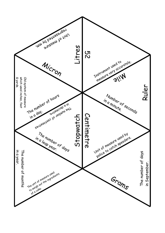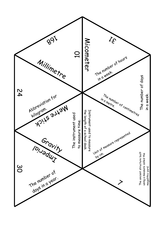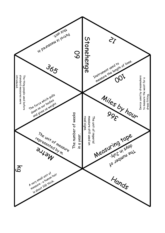